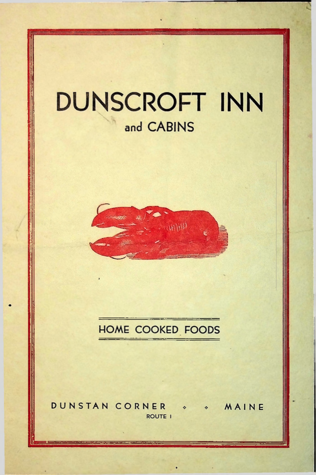# **DUNSCROFT INN** and CABINS



# **HOME COOKED FOODS**

DUNSTAN CORNER « MAINE  $\sim$ **ROUTE I**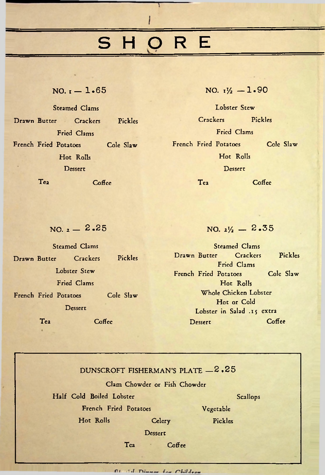# S H O R E

Ï

### $NO. t - 1.65$

Steamed Clams Drawn Butter Crackers Pickles Fried Clams French Fried Potatoes Cole Slaw Hot Rolls Dessert Tea Coffee

NO.  $I_2^{\prime}/_2$  - 1.90

Lobster Stew Crackers Pickles Fried Clams French Fried Potatoes Cole Slaw Hot Rolls Dessert

Tea Coffee

 $NO. z - 2.25$ 

NO.  $\frac{1}{2}$  - 2.35

| Steamed Clams                                 |          |                                      | Steamed Clams |                            |  |                         |           |
|-----------------------------------------------|----------|--------------------------------------|---------------|----------------------------|--|-------------------------|-----------|
| Drawn Butter                                  | Crackers | Pickles                              |               | Drawn Butter               |  | Crackers<br>Fried Clams | Pickles   |
| Lobster Stew<br>Fried Clams                   |          |                                      |               | French Fried Potatoes      |  | Hot Rolls               | Cole Slaw |
| Cole Slaw<br>French Fried Potatoes<br>Dessert |          | Whole Chicken Lobster<br>Hot or Cold |               |                            |  |                         |           |
|                                               |          |                                      |               | Lobster in Salad .15 extra |  |                         |           |
| Te <sub>2</sub>                               | Coffee   |                                      |               | Dessert                    |  |                         | $C0$ ffee |

|                          | DUNSCROFT FISHERMAN'S PLATE - 2.25 |           |  |
|--------------------------|------------------------------------|-----------|--|
|                          | Clam Chowder or Fish Chowder       |           |  |
| Half Cold Boiled Lobster |                                    | Scallops  |  |
| French Fried Potatoes    |                                    | Vegetable |  |
| Hot Rolls                | Celery                             | Pickles   |  |
|                          | Dessert                            |           |  |
| Tea                      | Coffee                             |           |  |
|                          |                                    |           |  |

*<u>All Climber for Children</u>*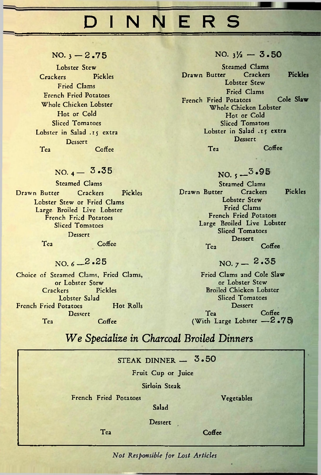# DINNERS

 $NO.$   $3 - 2.75$ 

Lobster Stew Crackers Pickles Fried Clams French Fried Potatoes Whole Chicken Lobster Hot or Cold Sliced Tomatoes Lobster in Salad .15 extra **Dessert** Tea Coffee

### $NO. 4 - 3.35$

Steamed Clams Drawn Butter Crackers Pickles Lobster Stew or Fried Clams Large Broiled Live Lobster French Fried Potatoes Sliced Tomatoes Dessert Tea Coffee

### NO.  $6 - 2.25$

Choice of Steamed Clams, Fried Clams, or Lobster Stew Crackers Pickles Lobster Salad French Fried Potatoes Hot Rolls **Dessert** Tea Coffee

#### $NO. 3\frac{1}{2} - 3.50$

Steamed Clams<br>er Crackers Drawn Butter Crackers Pickles Lobster Stew Fried Clams French Fried Potatoes Cole Slaw Whole Chicken Lobster Hot or Cold Sliced Tomatoes Lobster in Salad .15 extra Dessert Tea Coffee

NO.  $5 - 3.95$ 

Steamed Clams<br>er Crackers Drawn Butter Crackers Pickles Lobster Stew Fried Clams French Fried Potatoes Large Broiled Live Lobster Sliced Tomatoes **Dessert** Tea Coffee

 $NO.7 - 2.35$ 

Fried Clams and Cole Slaw or Lobster Stew Broiled Chicken Lobster Sliced Tomatoes Dessert Tea Coffee (With Large Lobster -2.75)

## *W e Specialize in Charcoal Broiled Dinners*

# $STEAK$  DINNER  $-$  3.50 Fruit Cup or Juice Sirloin Steak French Fried Potatoes Vegetables Salad Dessert Tea Coffee

Not Responsible for Lost Articles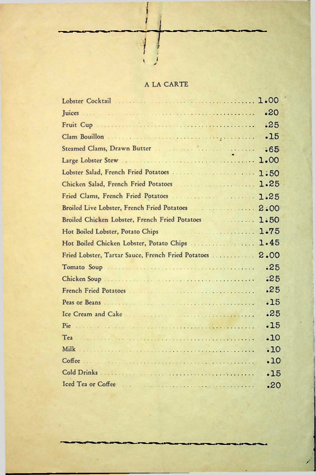### A LA CARTE

|                                                    | .20  |
|----------------------------------------------------|------|
| Fruit Cup                                          | .25  |
|                                                    | .15  |
|                                                    | .65  |
|                                                    | 1.00 |
|                                                    | 1:50 |
|                                                    | 1.25 |
|                                                    | 1.25 |
|                                                    | 2:00 |
| Broiled Chicken Lobster, French Fried Potatoes     | 1:50 |
| Hot Boiled Lobster, Potato Chips                   | 1.75 |
|                                                    | 1.45 |
| Hot Boiled Chicken Lobster, Potato Chips           |      |
| Fried Lobster, Tartar Sauce, French Fried Potatoes | 2.00 |
|                                                    | .25  |
|                                                    | : 25 |
|                                                    | .25  |
|                                                    | .15  |
| Ice Cream and Cake                                 | .25  |
| Pie                                                | .15  |
|                                                    | .10  |
|                                                    | .10  |
|                                                    | .10  |
| Cold Drinks                                        | .15  |